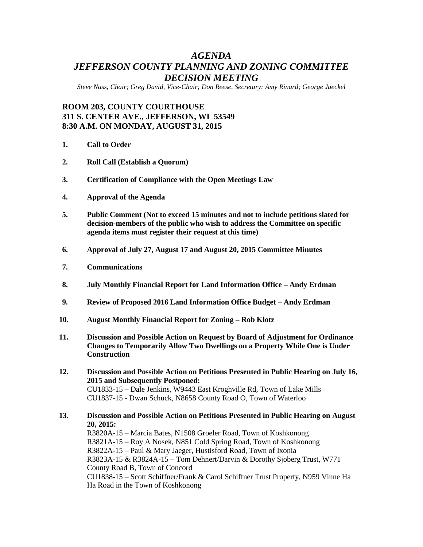# *AGENDA JEFFERSON COUNTY PLANNING AND ZONING COMMITTEE DECISION MEETING*

*Steve Nass, Chair; Greg David, Vice-Chair; Don Reese, Secretary; Amy Rinard; George Jaeckel*

## **ROOM 203, COUNTY COURTHOUSE 311 S. CENTER AVE., JEFFERSON, WI 53549 8:30 A.M. ON MONDAY, AUGUST 31, 2015**

- **1. Call to Order**
- **2. Roll Call (Establish a Quorum)**
- **3. Certification of Compliance with the Open Meetings Law**
- **4. Approval of the Agenda**
- **5. Public Comment (Not to exceed 15 minutes and not to include petitions slated for decision-members of the public who wish to address the Committee on specific agenda items must register their request at this time)**
- **6. Approval of July 27, August 17 and August 20, 2015 Committee Minutes**
- **7. Communications**
- **8. July Monthly Financial Report for Land Information Office – Andy Erdman**
- **9. Review of Proposed 2016 Land Information Office Budget – Andy Erdman**
- **10. August Monthly Financial Report for Zoning – Rob Klotz**
- **11. Discussion and Possible Action on Request by Board of Adjustment for Ordinance Changes to Temporarily Allow Two Dwellings on a Property While One is Under Construction**
- **12. Discussion and Possible Action on Petitions Presented in Public Hearing on July 16, 2015 and Subsequently Postponed:** CU1833-15 – Dale Jenkins, W9443 East Kroghville Rd, Town of Lake Mills CU1837-15 - Dwan Schuck, N8658 County Road O, Town of Waterloo
- **13. Discussion and Possible Action on Petitions Presented in Public Hearing on August 20, 2015:**

R3820A-15 – Marcia Bates, N1508 Groeler Road, Town of Koshkonong R3821A-15 – Roy A Nosek, N851 Cold Spring Road, Town of Koshkonong R3822A-15 – Paul & Mary Jaeger, Hustisford Road, Town of Ixonia R3823A-15 & R3824A-15 – Tom Dehnert/Darvin & Dorothy Sjoberg Trust, W771 County Road B, Town of Concord CU1838-15 – Scott Schiffner/Frank & Carol Schiffner Trust Property, N959 Vinne Ha Ha Road in the Town of Koshkonong